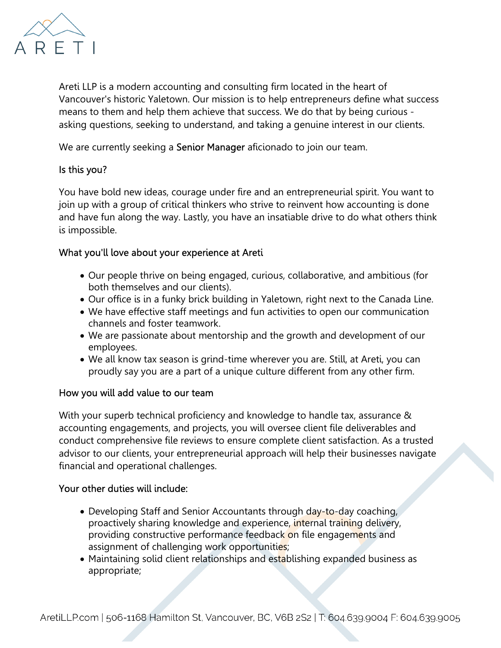

Areti LLP is a modern accounting and consulting firm located in the heart of Vancouver's historic Yaletown. Our mission is to help entrepreneurs define what success means to them and help them achieve that success. We do that by being curious asking questions, seeking to understand, and taking a genuine interest in our clients.

We are currently seeking a **Senior Manager** aficionado to join our team.

## Is this you?

You have bold new ideas, courage under fire and an entrepreneurial spirit. You want to join up with a group of critical thinkers who strive to reinvent how accounting is done and have fun along the way. Lastly, you have an insatiable drive to do what others think is impossible.

## What you'll love about your experience at Areti

- Our people thrive on being engaged, curious, collaborative, and ambitious (for both themselves and our clients).
- Our office is in a funky brick building in Yaletown, right next to the Canada Line.
- We have effective staff meetings and fun activities to open our communication channels and foster teamwork.
- We are passionate about mentorship and the growth and development of our employees.
- We all know tax season is grind-time wherever you are. Still, at Areti, you can proudly say you are a part of a unique culture different from any other firm.

## How you will add value to our team

With your superb technical proficiency and knowledge to handle tax, assurance & accounting engagements, and projects, you will oversee client file deliverables and conduct comprehensive file reviews to ensure complete client satisfaction. As a trusted advisor to our clients, your entrepreneurial approach will help their businesses navigate financial and operational challenges.

## Your other duties will include:

- Developing Staff and Senior Accountants through day-to-day coaching, proactively sharing knowledge and experience, internal training delivery, providing constructive performance feedback on file engagements and assignment of challenging work opportunities;
- Maintaining solid client relationships and establishing expanded business as appropriate;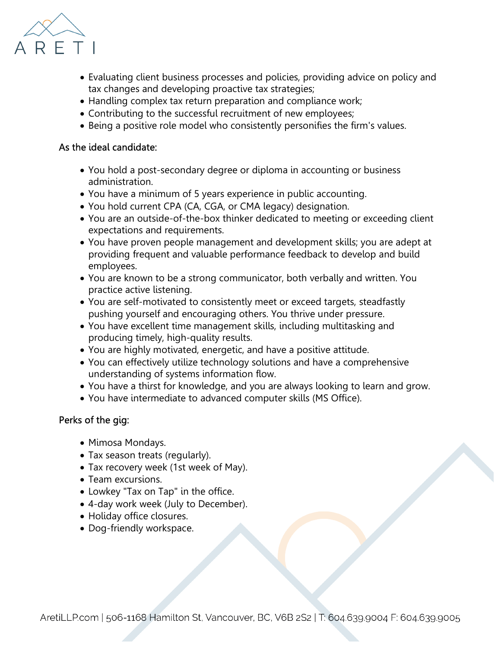

- Evaluating client business processes and policies, providing advice on policy and tax changes and developing proactive tax strategies;
- Handling complex tax return preparation and compliance work;
- Contributing to the successful recruitment of new employees;
- Being a positive role model who consistently personifies the firm's values.

### As the ideal candidate:

- You hold a post-secondary degree or diploma in accounting or business administration.
- You have a minimum of 5 years experience in public accounting.
- You hold current CPA (CA, CGA, or CMA legacy) designation.
- You are an outside-of-the-box thinker dedicated to meeting or exceeding client expectations and requirements.
- You have proven people management and development skills; you are adept at providing frequent and valuable performance feedback to develop and build employees.
- You are known to be a strong communicator, both verbally and written. You practice active listening.
- You are self-motivated to consistently meet or exceed targets, steadfastly pushing yourself and encouraging others. You thrive under pressure.
- You have excellent time management skills, including multitasking and producing timely, high-quality results.
- You are highly motivated, energetic, and have a positive attitude.
- You can effectively utilize technology solutions and have a comprehensive understanding of systems information flow.
- You have a thirst for knowledge, and you are always looking to learn and grow.
- You have intermediate to advanced computer skills (MS Office).

## Perks of the gig:

- Mimosa Mondays.
- Tax season treats (regularly).
- Tax recovery week (1st week of May).
- Team excursions.
- Lowkey "Tax on Tap" in the office.
- 4-day work week (July to December).
- Holiday office closures.
- Dog-friendly workspace.